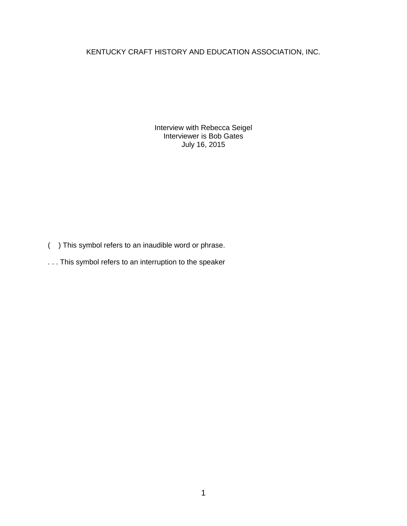KENTUCKY CRAFT HISTORY AND EDUCATION ASSOCIATION, INC.

Interview with Rebecca Seigel Interviewer is Bob Gates July 16, 2015

- ( ) This symbol refers to an inaudible word or phrase.
- . . . This symbol refers to an interruption to the speaker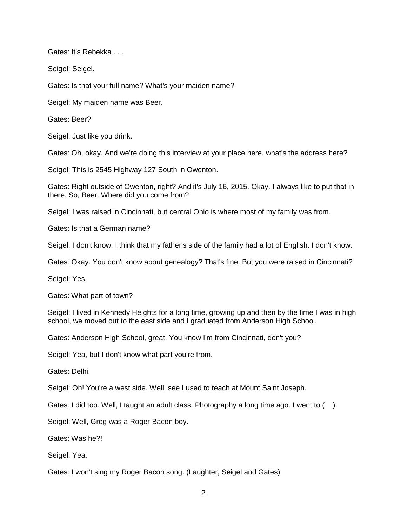Gates: It's Rebekka . . .

Seigel: Seigel.

Gates: Is that your full name? What's your maiden name?

Seigel: My maiden name was Beer.

Gates: Beer?

Seigel: Just like you drink.

Gates: Oh, okay. And we're doing this interview at your place here, what's the address here?

Seigel: This is 2545 Highway 127 South in Owenton.

Gates: Right outside of Owenton, right? And it's July 16, 2015. Okay. I always like to put that in there. So, Beer. Where did you come from?

Seigel: I was raised in Cincinnati, but central Ohio is where most of my family was from.

Gates: Is that a German name?

Seigel: I don't know. I think that my father's side of the family had a lot of English. I don't know.

Gates: Okay. You don't know about genealogy? That's fine. But you were raised in Cincinnati?

Seigel: Yes.

Gates: What part of town?

Seigel: I lived in Kennedy Heights for a long time, growing up and then by the time I was in high school, we moved out to the east side and I graduated from Anderson High School.

Gates: Anderson High School, great. You know I'm from Cincinnati, don't you?

Seigel: Yea, but I don't know what part you're from.

Gates: Delhi.

Seigel: Oh! You're a west side. Well, see I used to teach at Mount Saint Joseph.

Gates: I did too. Well, I taught an adult class. Photography a long time ago. I went to  $( )$ .

Seigel: Well, Greg was a Roger Bacon boy.

Gates: Was he?!

Seigel: Yea.

Gates: I won't sing my Roger Bacon song. (Laughter, Seigel and Gates)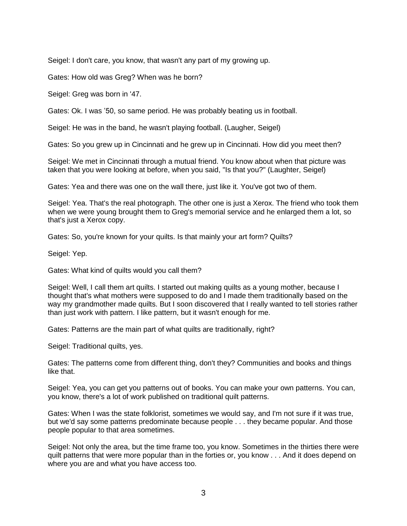Seigel: I don't care, you know, that wasn't any part of my growing up.

Gates: How old was Greg? When was he born?

Seigel: Greg was born in '47.

Gates: Ok. I was '50, so same period. He was probably beating us in football.

Seigel: He was in the band, he wasn't playing football. (Laugher, Seigel)

Gates: So you grew up in Cincinnati and he grew up in Cincinnati. How did you meet then?

Seigel: We met in Cincinnati through a mutual friend. You know about when that picture was taken that you were looking at before, when you said, "Is that you?" (Laughter, Seigel)

Gates: Yea and there was one on the wall there, just like it. You've got two of them.

Seigel: Yea. That's the real photograph. The other one is just a Xerox. The friend who took them when we were young brought them to Greg's memorial service and he enlarged them a lot, so that's just a Xerox copy.

Gates: So, you're known for your quilts. Is that mainly your art form? Quilts?

Seigel: Yep.

Gates: What kind of quilts would you call them?

Seigel: Well, I call them art quilts. I started out making quilts as a young mother, because I thought that's what mothers were supposed to do and I made them traditionally based on the way my grandmother made quilts. But I soon discovered that I really wanted to tell stories rather than just work with pattern. I like pattern, but it wasn't enough for me.

Gates: Patterns are the main part of what quilts are traditionally, right?

Seigel: Traditional quilts, yes.

Gates: The patterns come from different thing, don't they? Communities and books and things like that.

Seigel: Yea, you can get you patterns out of books. You can make your own patterns. You can, you know, there's a lot of work published on traditional quilt patterns.

Gates: When I was the state folklorist, sometimes we would say, and I'm not sure if it was true, but we'd say some patterns predominate because people . . . they became popular. And those people popular to that area sometimes.

Seigel: Not only the area, but the time frame too, you know. Sometimes in the thirties there were quilt patterns that were more popular than in the forties or, you know . . . And it does depend on where you are and what you have access too.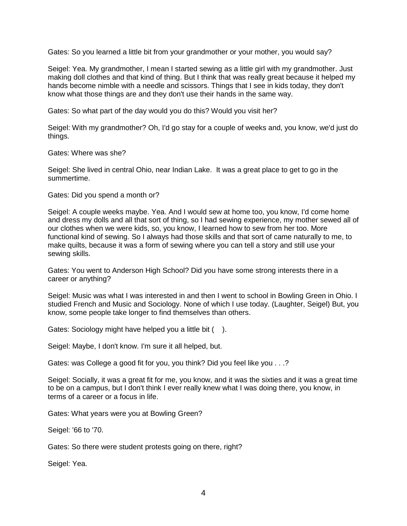Gates: So you learned a little bit from your grandmother or your mother, you would say?

Seigel: Yea. My grandmother, I mean I started sewing as a little girl with my grandmother. Just making doll clothes and that kind of thing. But I think that was really great because it helped my hands become nimble with a needle and scissors. Things that I see in kids today, they don't know what those things are and they don't use their hands in the same way.

Gates: So what part of the day would you do this? Would you visit her?

Seigel: With my grandmother? Oh, I'd go stay for a couple of weeks and, you know, we'd just do things.

Gates: Where was she?

Seigel: She lived in central Ohio, near Indian Lake. It was a great place to get to go in the summertime.

Gates: Did you spend a month or?

Seigel: A couple weeks maybe. Yea. And I would sew at home too, you know, I'd come home and dress my dolls and all that sort of thing, so I had sewing experience, my mother sewed all of our clothes when we were kids, so, you know, I learned how to sew from her too. More functional kind of sewing. So I always had those skills and that sort of came naturally to me, to make quilts, because it was a form of sewing where you can tell a story and still use your sewing skills.

Gates: You went to Anderson High School? Did you have some strong interests there in a career or anything?

Seigel: Music was what I was interested in and then I went to school in Bowling Green in Ohio. I studied French and Music and Sociology. None of which I use today. (Laughter, Seigel) But, you know, some people take longer to find themselves than others.

Gates: Sociology might have helped you a little bit ( ).

Seigel: Maybe, I don't know. I'm sure it all helped, but.

Gates: was College a good fit for you, you think? Did you feel like you . . .?

Seigel: Socially, it was a great fit for me, you know, and it was the sixties and it was a great time to be on a campus, but I don't think I ever really knew what I was doing there, you know, in terms of a career or a focus in life.

Gates: What years were you at Bowling Green?

Seigel: '66 to '70.

Gates: So there were student protests going on there, right?

Seigel: Yea.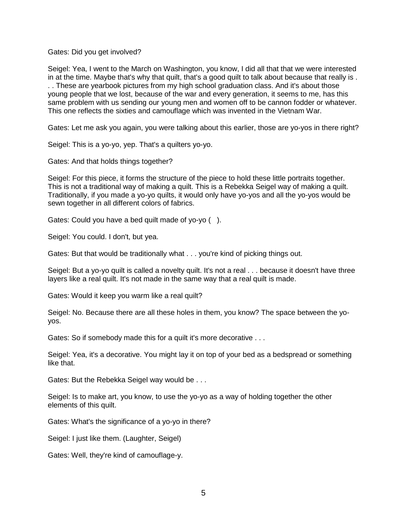Gates: Did you get involved?

Seigel: Yea, I went to the March on Washington, you know, I did all that that we were interested in at the time. Maybe that's why that quilt, that's a good quilt to talk about because that really is . . . These are yearbook pictures from my high school graduation class. And it's about those young people that we lost, because of the war and every generation, it seems to me, has this same problem with us sending our young men and women off to be cannon fodder or whatever. This one reflects the sixties and camouflage which was invented in the Vietnam War.

Gates: Let me ask you again, you were talking about this earlier, those are yo-yos in there right?

Seigel: This is a yo-yo, yep. That's a quilters yo-yo.

Gates: And that holds things together?

Seigel: For this piece, it forms the structure of the piece to hold these little portraits together. This is not a traditional way of making a quilt. This is a Rebekka Seigel way of making a quilt. Traditionally, if you made a yo-yo quilts, it would only have yo-yos and all the yo-yos would be sewn together in all different colors of fabrics.

Gates: Could you have a bed quilt made of yo-yo ( ).

Seigel: You could. I don't, but yea.

Gates: But that would be traditionally what . . . you're kind of picking things out.

Seigel: But a yo-yo quilt is called a novelty quilt. It's not a real . . . because it doesn't have three layers like a real quilt. It's not made in the same way that a real quilt is made.

Gates: Would it keep you warm like a real quilt?

Seigel: No. Because there are all these holes in them, you know? The space between the yoyos.

Gates: So if somebody made this for a quilt it's more decorative . . .

Seigel: Yea, it's a decorative. You might lay it on top of your bed as a bedspread or something like that.

Gates: But the Rebekka Seigel way would be . . .

Seigel: Is to make art, you know, to use the yo-yo as a way of holding together the other elements of this quilt.

Gates: What's the significance of a yo-yo in there?

Seigel: I just like them. (Laughter, Seigel)

Gates: Well, they're kind of camouflage-y.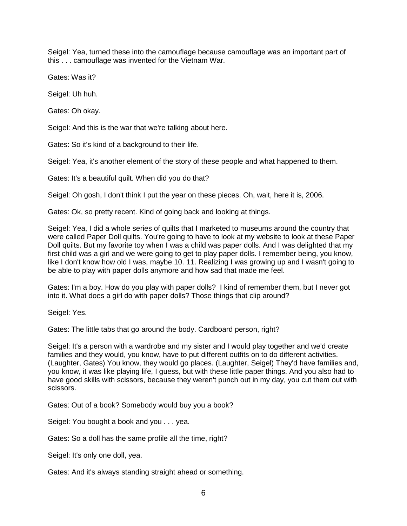Seigel: Yea, turned these into the camouflage because camouflage was an important part of this . . . camouflage was invented for the Vietnam War.

Gates: Was it?

Seigel: Uh huh.

Gates: Oh okay.

Seigel: And this is the war that we're talking about here.

Gates: So it's kind of a background to their life.

Seigel: Yea, it's another element of the story of these people and what happened to them.

Gates: It's a beautiful quilt. When did you do that?

Seigel: Oh gosh, I don't think I put the year on these pieces. Oh, wait, here it is, 2006.

Gates: Ok, so pretty recent. Kind of going back and looking at things.

Seigel: Yea, I did a whole series of quilts that I marketed to museums around the country that were called Paper Doll quilts. You're going to have to look at my website to look at these Paper Doll quilts. But my favorite toy when I was a child was paper dolls. And I was delighted that my first child was a girl and we were going to get to play paper dolls. I remember being, you know, like I don't know how old I was, maybe 10. 11. Realizing I was growing up and I wasn't going to be able to play with paper dolls anymore and how sad that made me feel.

Gates: I'm a boy. How do you play with paper dolls? I kind of remember them, but I never got into it. What does a girl do with paper dolls? Those things that clip around?

Seigel: Yes.

Gates: The little tabs that go around the body. Cardboard person, right?

Seigel: It's a person with a wardrobe and my sister and I would play together and we'd create families and they would, you know, have to put different outfits on to do different activities. (Laughter, Gates) You know, they would go places. (Laughter, Seigel) They'd have families and, you know, it was like playing life, I guess, but with these little paper things. And you also had to have good skills with scissors, because they weren't punch out in my day, you cut them out with scissors.

Gates: Out of a book? Somebody would buy you a book?

Seigel: You bought a book and you . . . yea.

Gates: So a doll has the same profile all the time, right?

Seigel: It's only one doll, yea.

Gates: And it's always standing straight ahead or something.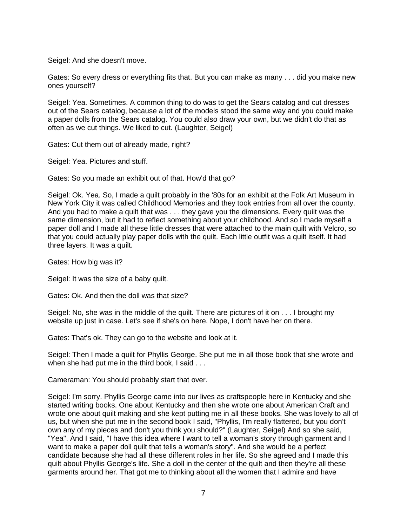Seigel: And she doesn't move.

Gates: So every dress or everything fits that. But you can make as many . . . did you make new ones yourself?

Seigel: Yea. Sometimes. A common thing to do was to get the Sears catalog and cut dresses out of the Sears catalog, because a lot of the models stood the same way and you could make a paper dolls from the Sears catalog. You could also draw your own, but we didn't do that as often as we cut things. We liked to cut. (Laughter, Seigel)

Gates: Cut them out of already made, right?

Seigel: Yea. Pictures and stuff.

Gates: So you made an exhibit out of that. How'd that go?

Seigel: Ok. Yea. So, I made a quilt probably in the '80s for an exhibit at the Folk Art Museum in New York City it was called Childhood Memories and they took entries from all over the county. And you had to make a quilt that was . . . they gave you the dimensions. Every quilt was the same dimension, but it had to reflect something about your childhood. And so I made myself a paper doll and I made all these little dresses that were attached to the main quilt with Velcro, so that you could actually play paper dolls with the quilt. Each little outfit was a quilt itself. It had three layers. It was a quilt.

Gates: How big was it?

Seigel: It was the size of a baby quilt.

Gates: Ok. And then the doll was that size?

Seigel: No, she was in the middle of the quilt. There are pictures of it on . . . I brought my website up just in case. Let's see if she's on here. Nope, I don't have her on there.

Gates: That's ok. They can go to the website and look at it.

Seigel: Then I made a quilt for Phyllis George. She put me in all those book that she wrote and when she had put me in the third book, I said . . .

Cameraman: You should probably start that over.

Seigel: I'm sorry. Phyllis George came into our lives as craftspeople here in Kentucky and she started writing books. One about Kentucky and then she wrote one about American Craft and wrote one about quilt making and she kept putting me in all these books. She was lovely to all of us, but when she put me in the second book I said, "Phyllis, I'm really flattered, but you don't own any of my pieces and don't you think you should?" (Laughter, Seigel) And so she said, "Yea". And I said, "I have this idea where I want to tell a woman's story through garment and I want to make a paper doll quilt that tells a woman's story". And she would be a perfect candidate because she had all these different roles in her life. So she agreed and I made this quilt about Phyllis George's life. She a doll in the center of the quilt and then they're all these garments around her. That got me to thinking about all the women that I admire and have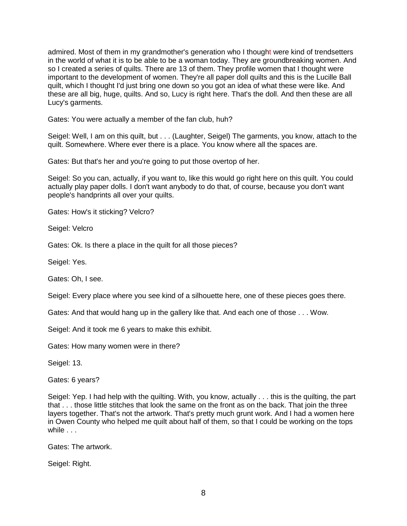admired. Most of them in my grandmother's generation who I thought were kind of trendsetters in the world of what it is to be able to be a woman today. They are groundbreaking women. And so I created a series of quilts. There are 13 of them. They profile women that I thought were important to the development of women. They're all paper doll quilts and this is the Lucille Ball quilt, which I thought I'd just bring one down so you got an idea of what these were like. And these are all big, huge, quilts. And so, Lucy is right here. That's the doll. And then these are all Lucy's garments.

Gates: You were actually a member of the fan club, huh?

Seigel: Well, I am on this quilt, but . . . (Laughter, Seigel) The garments, you know, attach to the quilt. Somewhere. Where ever there is a place. You know where all the spaces are.

Gates: But that's her and you're going to put those overtop of her.

Seigel: So you can, actually, if you want to, like this would go right here on this quilt. You could actually play paper dolls. I don't want anybody to do that, of course, because you don't want people's handprints all over your quilts.

Gates: How's it sticking? Velcro?

Seigel: Velcro

Gates: Ok. Is there a place in the quilt for all those pieces?

Seigel: Yes.

Gates: Oh, I see.

Seigel: Every place where you see kind of a silhouette here, one of these pieces goes there.

Gates: And that would hang up in the gallery like that. And each one of those . . . Wow.

Seigel: And it took me 6 years to make this exhibit.

Gates: How many women were in there?

Seigel: 13.

Gates: 6 years?

Seigel: Yep. I had help with the quilting. With, you know, actually . . . this is the quilting, the part that . . . those little stitches that look the same on the front as on the back. That join the three layers together. That's not the artwork. That's pretty much grunt work. And I had a women here in Owen County who helped me quilt about half of them, so that I could be working on the tops while . . .

Gates: The artwork.

Seigel: Right.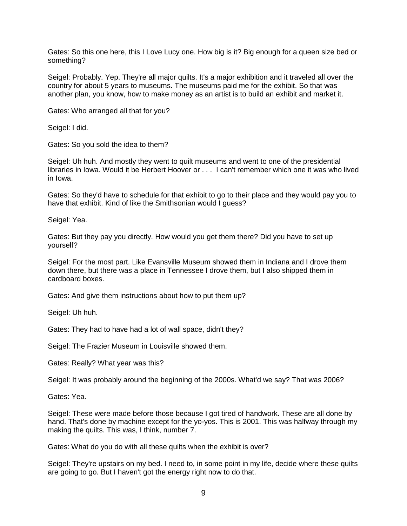Gates: So this one here, this I Love Lucy one. How big is it? Big enough for a queen size bed or something?

Seigel: Probably. Yep. They're all major quilts. It's a major exhibition and it traveled all over the country for about 5 years to museums. The museums paid me for the exhibit. So that was another plan, you know, how to make money as an artist is to build an exhibit and market it.

Gates: Who arranged all that for you?

Seigel: I did.

Gates: So you sold the idea to them?

Seigel: Uh huh. And mostly they went to quilt museums and went to one of the presidential libraries in Iowa. Would it be Herbert Hoover or . . . I can't remember which one it was who lived in Iowa.

Gates: So they'd have to schedule for that exhibit to go to their place and they would pay you to have that exhibit. Kind of like the Smithsonian would I guess?

Seigel: Yea.

Gates: But they pay you directly. How would you get them there? Did you have to set up yourself?

Seigel: For the most part. Like Evansville Museum showed them in Indiana and I drove them down there, but there was a place in Tennessee I drove them, but I also shipped them in cardboard boxes.

Gates: And give them instructions about how to put them up?

Seigel: Uh huh.

Gates: They had to have had a lot of wall space, didn't they?

Seigel: The Frazier Museum in Louisville showed them.

Gates: Really? What year was this?

Seigel: It was probably around the beginning of the 2000s. What'd we say? That was 2006?

Gates: Yea.

Seigel: These were made before those because I got tired of handwork. These are all done by hand. That's done by machine except for the yo-yos. This is 2001. This was halfway through my making the quilts. This was, I think, number 7.

Gates: What do you do with all these quilts when the exhibit is over?

Seigel: They're upstairs on my bed. I need to, in some point in my life, decide where these quilts are going to go. But I haven't got the energy right now to do that.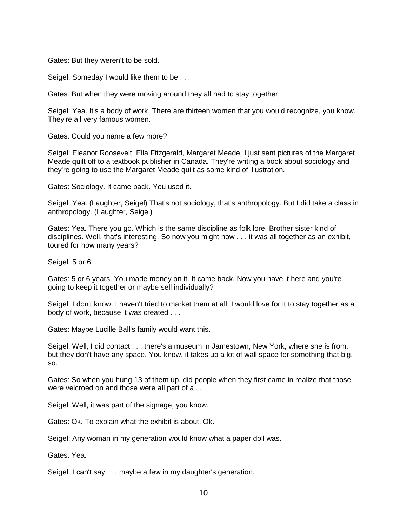Gates: But they weren't to be sold.

Seigel: Someday I would like them to be . . .

Gates: But when they were moving around they all had to stay together.

Seigel: Yea. It's a body of work. There are thirteen women that you would recognize, you know. They're all very famous women.

Gates: Could you name a few more?

Seigel: Eleanor Roosevelt, Ella Fitzgerald, Margaret Meade. I just sent pictures of the Margaret Meade quilt off to a textbook publisher in Canada. They're writing a book about sociology and they're going to use the Margaret Meade quilt as some kind of illustration.

Gates: Sociology. It came back. You used it.

Seigel: Yea. (Laughter, Seigel) That's not sociology, that's anthropology. But I did take a class in anthropology. (Laughter, Seigel)

Gates: Yea. There you go. Which is the same discipline as folk lore. Brother sister kind of disciplines. Well, that's interesting. So now you might now . . . it was all together as an exhibit, toured for how many years?

Seigel: 5 or 6.

Gates: 5 or 6 years. You made money on it. It came back. Now you have it here and you're going to keep it together or maybe sell individually?

Seigel: I don't know. I haven't tried to market them at all. I would love for it to stay together as a body of work, because it was created . . .

Gates: Maybe Lucille Ball's family would want this.

Seigel: Well, I did contact . . . there's a museum in Jamestown, New York, where she is from, but they don't have any space. You know, it takes up a lot of wall space for something that big, so.

Gates: So when you hung 13 of them up, did people when they first came in realize that those were velcroed on and those were all part of a . . .

Seigel: Well, it was part of the signage, you know.

Gates: Ok. To explain what the exhibit is about. Ok.

Seigel: Any woman in my generation would know what a paper doll was.

Gates: Yea.

Seigel: I can't say . . . maybe a few in my daughter's generation.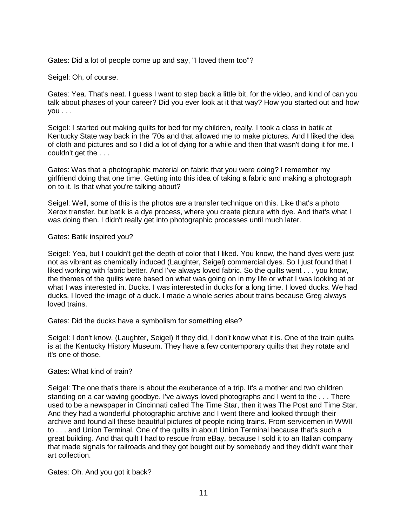Gates: Did a lot of people come up and say, "I loved them too"?

Seigel: Oh, of course.

Gates: Yea. That's neat. I guess I want to step back a little bit, for the video, and kind of can you talk about phases of your career? Did you ever look at it that way? How you started out and how you . . .

Seigel: I started out making quilts for bed for my children, really. I took a class in batik at Kentucky State way back in the '70s and that allowed me to make pictures. And I liked the idea of cloth and pictures and so I did a lot of dying for a while and then that wasn't doing it for me. I couldn't get the . . .

Gates: Was that a photographic material on fabric that you were doing? I remember my girlfriend doing that one time. Getting into this idea of taking a fabric and making a photograph on to it. Is that what you're talking about?

Seigel: Well, some of this is the photos are a transfer technique on this. Like that's a photo Xerox transfer, but batik is a dye process, where you create picture with dye. And that's what I was doing then. I didn't really get into photographic processes until much later.

## Gates: Batik inspired you?

Seigel: Yea, but I couldn't get the depth of color that I liked. You know, the hand dyes were just not as vibrant as chemically induced (Laughter, Seigel) commercial dyes. So I just found that I liked working with fabric better. And I've always loved fabric. So the quilts went . . . you know, the themes of the quilts were based on what was going on in my life or what I was looking at or what I was interested in. Ducks. I was interested in ducks for a long time. I loved ducks. We had ducks. I loved the image of a duck. I made a whole series about trains because Greg always loved trains.

Gates: Did the ducks have a symbolism for something else?

Seigel: I don't know. (Laughter, Seigel) If they did, I don't know what it is. One of the train quilts is at the Kentucky History Museum. They have a few contemporary quilts that they rotate and it's one of those.

## Gates: What kind of train?

Seigel: The one that's there is about the exuberance of a trip. It's a mother and two children standing on a car waving goodbye. I've always loved photographs and I went to the . . . There used to be a newspaper in Cincinnati called The Time Star, then it was The Post and Time Star. And they had a wonderful photographic archive and I went there and looked through their archive and found all these beautiful pictures of people riding trains. From servicemen in WWII to . . . and Union Terminal. One of the quilts in about Union Terminal because that's such a great building. And that quilt I had to rescue from eBay, because I sold it to an Italian company that made signals for railroads and they got bought out by somebody and they didn't want their art collection.

Gates: Oh. And you got it back?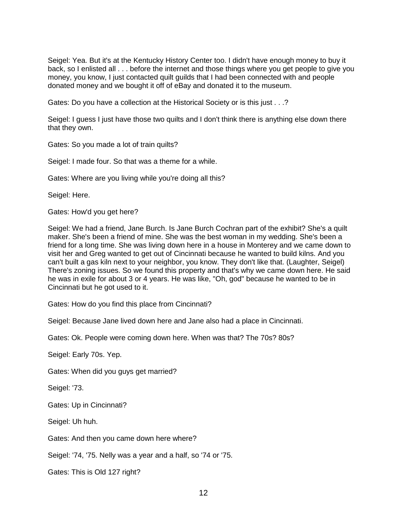Seigel: Yea. But it's at the Kentucky History Center too. I didn't have enough money to buy it back, so I enlisted all . . . before the internet and those things where you get people to give you money, you know, I just contacted quilt guilds that I had been connected with and people donated money and we bought it off of eBay and donated it to the museum.

Gates: Do you have a collection at the Historical Society or is this just . . .?

Seigel: I guess I just have those two quilts and I don't think there is anything else down there that they own.

Gates: So you made a lot of train quilts?

Seigel: I made four. So that was a theme for a while.

Gates: Where are you living while you're doing all this?

Seigel: Here.

Gates: How'd you get here?

Seigel: We had a friend, Jane Burch. Is Jane Burch Cochran part of the exhibit? She's a quilt maker. She's been a friend of mine. She was the best woman in my wedding. She's been a friend for a long time. She was living down here in a house in Monterey and we came down to visit her and Greg wanted to get out of Cincinnati because he wanted to build kilns. And you can't built a gas kiln next to your neighbor, you know. They don't like that. (Laughter, Seigel) There's zoning issues. So we found this property and that's why we came down here. He said he was in exile for about 3 or 4 years. He was like, "Oh, god" because he wanted to be in Cincinnati but he got used to it.

Gates: How do you find this place from Cincinnati?

Seigel: Because Jane lived down here and Jane also had a place in Cincinnati.

Gates: Ok. People were coming down here. When was that? The 70s? 80s?

Seigel: Early 70s. Yep.

Gates: When did you guys get married?

Seigel: '73.

Gates: Up in Cincinnati?

Seigel: Uh huh.

Gates: And then you came down here where?

Seigel: '74, '75. Nelly was a year and a half, so '74 or '75.

Gates: This is Old 127 right?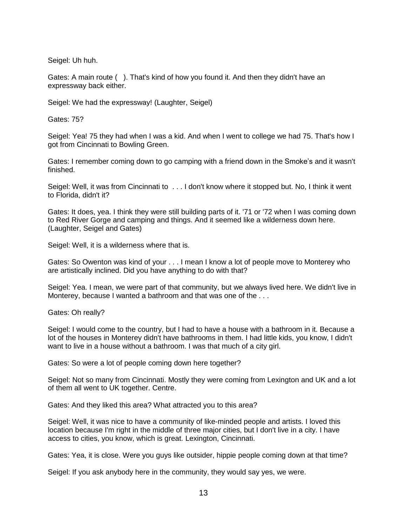Seigel: Uh huh.

Gates: A main route ( ). That's kind of how you found it. And then they didn't have an expressway back either.

Seigel: We had the expressway! (Laughter, Seigel)

Gates: 75?

Seigel: Yea! 75 they had when I was a kid. And when I went to college we had 75. That's how I got from Cincinnati to Bowling Green.

Gates: I remember coming down to go camping with a friend down in the Smoke's and it wasn't finished.

Seigel: Well, it was from Cincinnati to . . . I don't know where it stopped but. No, I think it went to Florida, didn't it?

Gates: It does, yea. I think they were still building parts of it. '71 or '72 when I was coming down to Red River Gorge and camping and things. And it seemed like a wilderness down here. (Laughter, Seigel and Gates)

Seigel: Well, it is a wilderness where that is.

Gates: So Owenton was kind of your . . . I mean I know a lot of people move to Monterey who are artistically inclined. Did you have anything to do with that?

Seigel: Yea. I mean, we were part of that community, but we always lived here. We didn't live in Monterey, because I wanted a bathroom and that was one of the ...

Gates: Oh really?

Seigel: I would come to the country, but I had to have a house with a bathroom in it. Because a lot of the houses in Monterey didn't have bathrooms in them. I had little kids, you know, I didn't want to live in a house without a bathroom. I was that much of a city girl.

Gates: So were a lot of people coming down here together?

Seigel: Not so many from Cincinnati. Mostly they were coming from Lexington and UK and a lot of them all went to UK together. Centre.

Gates: And they liked this area? What attracted you to this area?

Seigel: Well, it was nice to have a community of like-minded people and artists. I loved this location because I'm right in the middle of three major cities, but I don't live in a city. I have access to cities, you know, which is great. Lexington, Cincinnati.

Gates: Yea, it is close. Were you guys like outsider, hippie people coming down at that time?

Seigel: If you ask anybody here in the community, they would say yes, we were.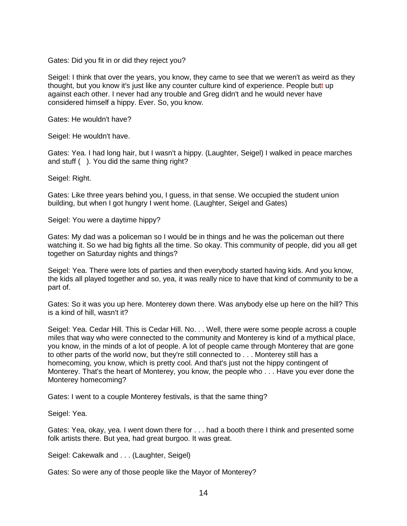Gates: Did you fit in or did they reject you?

Seigel: I think that over the years, you know, they came to see that we weren't as weird as they thought, but you know it's just like any counter culture kind of experience. People butt up against each other. I never had any trouble and Greg didn't and he would never have considered himself a hippy. Ever. So, you know.

Gates: He wouldn't have?

Seigel: He wouldn't have.

Gates: Yea. I had long hair, but I wasn't a hippy. (Laughter, Seigel) I walked in peace marches and stuff ( ). You did the same thing right?

Seigel: Right.

Gates: Like three years behind you, I guess, in that sense. We occupied the student union building, but when I got hungry I went home. (Laughter, Seigel and Gates)

Seigel: You were a daytime hippy?

Gates: My dad was a policeman so I would be in things and he was the policeman out there watching it. So we had big fights all the time. So okay. This community of people, did you all get together on Saturday nights and things?

Seigel: Yea. There were lots of parties and then everybody started having kids. And you know, the kids all played together and so, yea, it was really nice to have that kind of community to be a part of.

Gates: So it was you up here. Monterey down there. Was anybody else up here on the hill? This is a kind of hill, wasn't it?

Seigel: Yea. Cedar Hill. This is Cedar Hill. No. . . Well, there were some people across a couple miles that way who were connected to the community and Monterey is kind of a mythical place, you know, in the minds of a lot of people. A lot of people came through Monterey that are gone to other parts of the world now, but they're still connected to . . . Monterey still has a homecoming, you know, which is pretty cool. And that's just not the hippy contingent of Monterey. That's the heart of Monterey, you know, the people who . . . Have you ever done the Monterey homecoming?

Gates: I went to a couple Monterey festivals, is that the same thing?

Seigel: Yea.

Gates: Yea, okay, yea. I went down there for . . . had a booth there I think and presented some folk artists there. But yea, had great burgoo. It was great.

Seigel: Cakewalk and . . . (Laughter, Seigel)

Gates: So were any of those people like the Mayor of Monterey?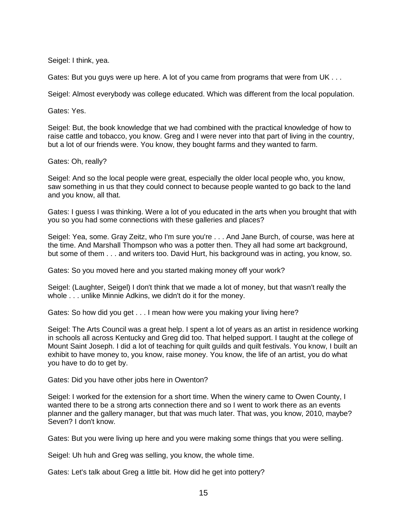Seigel: I think, yea.

Gates: But you guys were up here. A lot of you came from programs that were from UK . . .

Seigel: Almost everybody was college educated. Which was different from the local population.

Gates: Yes.

Seigel: But, the book knowledge that we had combined with the practical knowledge of how to raise cattle and tobacco, you know. Greg and I were never into that part of living in the country, but a lot of our friends were. You know, they bought farms and they wanted to farm.

Gates: Oh, really?

Seigel: And so the local people were great, especially the older local people who, you know, saw something in us that they could connect to because people wanted to go back to the land and you know, all that.

Gates: I guess I was thinking. Were a lot of you educated in the arts when you brought that with you so you had some connections with these galleries and places?

Seigel: Yea, some. Gray Zeitz, who I'm sure you're . . . And Jane Burch, of course, was here at the time. And Marshall Thompson who was a potter then. They all had some art background, but some of them . . . and writers too. David Hurt, his background was in acting, you know, so.

Gates: So you moved here and you started making money off your work?

Seigel: (Laughter, Seigel) I don't think that we made a lot of money, but that wasn't really the whole . . . unlike Minnie Adkins, we didn't do it for the money.

Gates: So how did you get . . . I mean how were you making your living here?

Seigel: The Arts Council was a great help. I spent a lot of years as an artist in residence working in schools all across Kentucky and Greg did too. That helped support. I taught at the college of Mount Saint Joseph. I did a lot of teaching for quilt guilds and quilt festivals. You know, I built an exhibit to have money to, you know, raise money. You know, the life of an artist, you do what you have to do to get by.

Gates: Did you have other jobs here in Owenton?

Seigel: I worked for the extension for a short time. When the winery came to Owen County, I wanted there to be a strong arts connection there and so I went to work there as an events planner and the gallery manager, but that was much later. That was, you know, 2010, maybe? Seven? I don't know.

Gates: But you were living up here and you were making some things that you were selling.

Seigel: Uh huh and Greg was selling, you know, the whole time.

Gates: Let's talk about Greg a little bit. How did he get into pottery?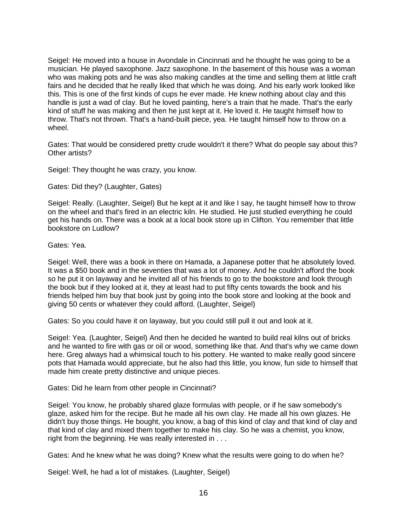Seigel: He moved into a house in Avondale in Cincinnati and he thought he was going to be a musician. He played saxophone. Jazz saxophone. In the basement of this house was a woman who was making pots and he was also making candles at the time and selling them at little craft fairs and he decided that he really liked that which he was doing. And his early work looked like this. This is one of the first kinds of cups he ever made. He knew nothing about clay and this handle is just a wad of clay. But he loved painting, here's a train that he made. That's the early kind of stuff he was making and then he just kept at it. He loved it. He taught himself how to throw. That's not thrown. That's a hand-built piece, yea. He taught himself how to throw on a wheel.

Gates: That would be considered pretty crude wouldn't it there? What do people say about this? Other artists?

Seigel: They thought he was crazy, you know.

Gates: Did they? (Laughter, Gates)

Seigel: Really. (Laughter, Seigel) But he kept at it and like I say, he taught himself how to throw on the wheel and that's fired in an electric kiln. He studied. He just studied everything he could get his hands on. There was a book at a local book store up in Clifton. You remember that little bookstore on Ludlow?

Gates: Yea.

Seigel: Well, there was a book in there on Hamada, a Japanese potter that he absolutely loved. It was a \$50 book and in the seventies that was a lot of money. And he couldn't afford the book so he put it on layaway and he invited all of his friends to go to the bookstore and look through the book but if they looked at it, they at least had to put fifty cents towards the book and his friends helped him buy that book just by going into the book store and looking at the book and giving 50 cents or whatever they could afford. (Laughter, Seigel)

Gates: So you could have it on layaway, but you could still pull it out and look at it.

Seigel: Yea. (Laughter, Seigel) And then he decided he wanted to build real kilns out of bricks and he wanted to fire with gas or oil or wood, something like that. And that's why we came down here. Greg always had a whimsical touch to his pottery. He wanted to make really good sincere pots that Hamada would appreciate, but he also had this little, you know, fun side to himself that made him create pretty distinctive and unique pieces.

Gates: Did he learn from other people in Cincinnati?

Seigel: You know, he probably shared glaze formulas with people, or if he saw somebody's glaze, asked him for the recipe. But he made all his own clay. He made all his own glazes. He didn't buy those things. He bought, you know, a bag of this kind of clay and that kind of clay and that kind of clay and mixed them together to make his clay. So he was a chemist, you know, right from the beginning. He was really interested in . . .

Gates: And he knew what he was doing? Knew what the results were going to do when he?

Seigel: Well, he had a lot of mistakes. (Laughter, Seigel)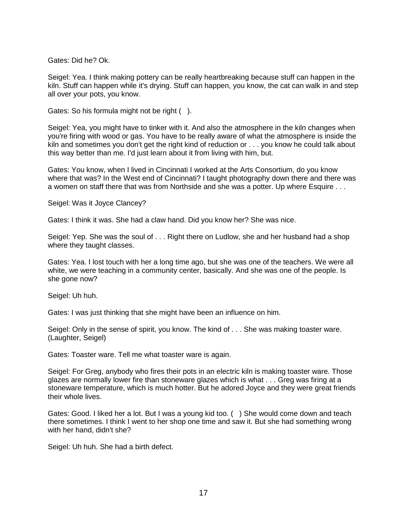Gates: Did he? Ok.

Seigel: Yea. I think making pottery can be really heartbreaking because stuff can happen in the kiln. Stuff can happen while it's drying. Stuff can happen, you know, the cat can walk in and step all over your pots, you know.

Gates: So his formula might not be right ( ).

Seigel: Yea, you might have to tinker with it. And also the atmosphere in the kiln changes when you're firing with wood or gas. You have to be really aware of what the atmosphere is inside the kiln and sometimes you don't get the right kind of reduction or . . . you know he could talk about this way better than me. I'd just learn about it from living with him, but.

Gates: You know, when I lived in Cincinnati I worked at the Arts Consortium, do you know where that was? In the West end of Cincinnati? I taught photography down there and there was a women on staff there that was from Northside and she was a potter. Up where Esquire . . .

Seigel: Was it Joyce Clancey?

Gates: I think it was. She had a claw hand. Did you know her? She was nice.

Seigel: Yep. She was the soul of . . . Right there on Ludlow, she and her husband had a shop where they taught classes.

Gates: Yea. I lost touch with her a long time ago, but she was one of the teachers. We were all white, we were teaching in a community center, basically. And she was one of the people. Is she gone now?

Seigel: Uh huh.

Gates: I was just thinking that she might have been an influence on him.

Seigel: Only in the sense of spirit, you know. The kind of . . . She was making toaster ware. (Laughter, Seigel)

Gates: Toaster ware. Tell me what toaster ware is again.

Seigel: For Greg, anybody who fires their pots in an electric kiln is making toaster ware. Those glazes are normally lower fire than stoneware glazes which is what . . . Greg was firing at a stoneware temperature, which is much hotter. But he adored Joyce and they were great friends their whole lives.

Gates: Good. I liked her a lot. But I was a young kid too. () She would come down and teach there sometimes. I think I went to her shop one time and saw it. But she had something wrong with her hand, didn't she?

Seigel: Uh huh. She had a birth defect.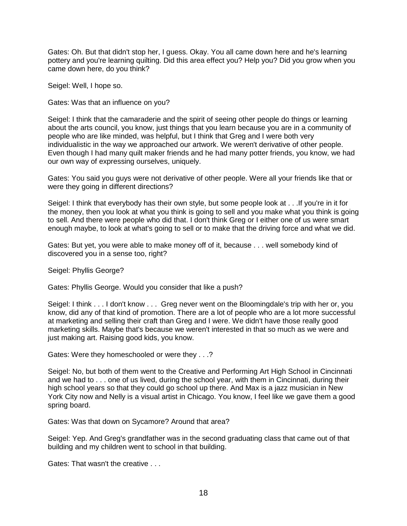Gates: Oh. But that didn't stop her, I guess. Okay. You all came down here and he's learning pottery and you're learning quilting. Did this area effect you? Help you? Did you grow when you came down here, do you think?

Seigel: Well, I hope so.

Gates: Was that an influence on you?

Seigel: I think that the camaraderie and the spirit of seeing other people do things or learning about the arts council, you know, just things that you learn because you are in a community of people who are like minded, was helpful, but I think that Greg and I were both very individualistic in the way we approached our artwork. We weren't derivative of other people. Even though I had many quilt maker friends and he had many potter friends, you know, we had our own way of expressing ourselves, uniquely.

Gates: You said you guys were not derivative of other people. Were all your friends like that or were they going in different directions?

Seigel: I think that everybody has their own style, but some people look at . . .If you're in it for the money, then you look at what you think is going to sell and you make what you think is going to sell. And there were people who did that. I don't think Greg or I either one of us were smart enough maybe, to look at what's going to sell or to make that the driving force and what we did.

Gates: But yet, you were able to make money off of it, because . . . well somebody kind of discovered you in a sense too, right?

Seigel: Phyllis George?

Gates: Phyllis George. Would you consider that like a push?

Seigel: I think . . . I don't know . . . Greg never went on the Bloomingdale's trip with her or, you know, did any of that kind of promotion. There are a lot of people who are a lot more successful at marketing and selling their craft than Greg and I were. We didn't have those really good marketing skills. Maybe that's because we weren't interested in that so much as we were and just making art. Raising good kids, you know.

Gates: Were they homeschooled or were they . . .?

Seigel: No, but both of them went to the Creative and Performing Art High School in Cincinnati and we had to . . . one of us lived, during the school year, with them in Cincinnati, during their high school years so that they could go school up there. And Max is a jazz musician in New York City now and Nelly is a visual artist in Chicago. You know, I feel like we gave them a good spring board.

Gates: Was that down on Sycamore? Around that area?

Seigel: Yep. And Greg's grandfather was in the second graduating class that came out of that building and my children went to school in that building.

Gates: That wasn't the creative . . .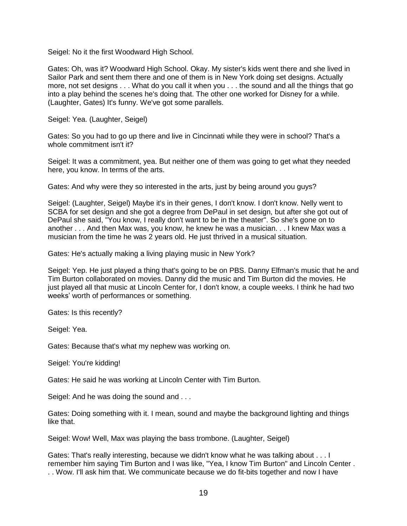Seigel: No it the first Woodward High School.

Gates: Oh, was it? Woodward High School. Okay. My sister's kids went there and she lived in Sailor Park and sent them there and one of them is in New York doing set designs. Actually more, not set designs . . . What do you call it when you . . . the sound and all the things that go into a play behind the scenes he's doing that. The other one worked for Disney for a while. (Laughter, Gates) It's funny. We've got some parallels.

Seigel: Yea. (Laughter, Seigel)

Gates: So you had to go up there and live in Cincinnati while they were in school? That's a whole commitment isn't it?

Seigel: It was a commitment, yea. But neither one of them was going to get what they needed here, you know. In terms of the arts.

Gates: And why were they so interested in the arts, just by being around you guys?

Seigel: (Laughter, Seigel) Maybe it's in their genes, I don't know. I don't know. Nelly went to SCBA for set design and she got a degree from DePaul in set design, but after she got out of DePaul she said, "You know, I really don't want to be in the theater". So she's gone on to another . . . And then Max was, you know, he knew he was a musician. . . I knew Max was a musician from the time he was 2 years old. He just thrived in a musical situation.

Gates: He's actually making a living playing music in New York?

Seigel: Yep. He just played a thing that's going to be on PBS. Danny Elfman's music that he and Tim Burton collaborated on movies. Danny did the music and Tim Burton did the movies. He just played all that music at Lincoln Center for, I don't know, a couple weeks. I think he had two weeks' worth of performances or something.

Gates: Is this recently?

Seigel: Yea.

Gates: Because that's what my nephew was working on.

Seigel: You're kidding!

Gates: He said he was working at Lincoln Center with Tim Burton.

Seigel: And he was doing the sound and . . .

Gates: Doing something with it. I mean, sound and maybe the background lighting and things like that.

Seigel: Wow! Well, Max was playing the bass trombone. (Laughter, Seigel)

Gates: That's really interesting, because we didn't know what he was talking about . . . I remember him saying Tim Burton and I was like, "Yea, I know Tim Burton" and Lincoln Center . . . Wow. I'll ask him that. We communicate because we do fit-bits together and now I have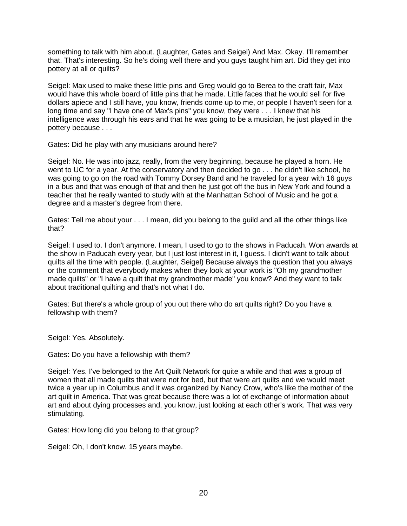something to talk with him about. (Laughter, Gates and Seigel) And Max. Okay. I'll remember that. That's interesting. So he's doing well there and you guys taught him art. Did they get into pottery at all or quilts?

Seigel: Max used to make these little pins and Greg would go to Berea to the craft fair, Max would have this whole board of little pins that he made. Little faces that he would sell for five dollars apiece and I still have, you know, friends come up to me, or people I haven't seen for a long time and say "I have one of Max's pins" you know, they were . . . I knew that his intelligence was through his ears and that he was going to be a musician, he just played in the pottery because . . .

Gates: Did he play with any musicians around here?

Seigel: No. He was into jazz, really, from the very beginning, because he played a horn. He went to UC for a year. At the conservatory and then decided to go . . . he didn't like school, he was going to go on the road with Tommy Dorsey Band and he traveled for a year with 16 guys in a bus and that was enough of that and then he just got off the bus in New York and found a teacher that he really wanted to study with at the Manhattan School of Music and he got a degree and a master's degree from there.

Gates: Tell me about your . . . I mean, did you belong to the guild and all the other things like that?

Seigel: I used to. I don't anymore. I mean, I used to go to the shows in Paducah. Won awards at the show in Paducah every year, but I just lost interest in it, I guess. I didn't want to talk about quilts all the time with people. (Laughter, Seigel) Because always the question that you always or the comment that everybody makes when they look at your work is "Oh my grandmother made quilts" or "I have a quilt that my grandmother made" you know? And they want to talk about traditional quilting and that's not what I do.

Gates: But there's a whole group of you out there who do art quilts right? Do you have a fellowship with them?

Seigel: Yes. Absolutely.

Gates: Do you have a fellowship with them?

Seigel: Yes. I've belonged to the Art Quilt Network for quite a while and that was a group of women that all made quilts that were not for bed, but that were art quilts and we would meet twice a year up in Columbus and it was organized by Nancy Crow, who's like the mother of the art quilt in America. That was great because there was a lot of exchange of information about art and about dying processes and, you know, just looking at each other's work. That was very stimulating.

Gates: How long did you belong to that group?

Seigel: Oh, I don't know. 15 years maybe.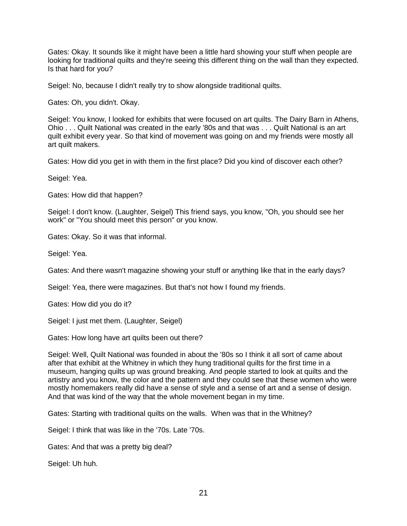Gates: Okay. It sounds like it might have been a little hard showing your stuff when people are looking for traditional quilts and they're seeing this different thing on the wall than they expected. Is that hard for you?

Seigel: No, because I didn't really try to show alongside traditional quilts.

Gates: Oh, you didn't. Okay.

Seigel: You know, I looked for exhibits that were focused on art quilts. The Dairy Barn in Athens, Ohio . . . Quilt National was created in the early '80s and that was . . . Quilt National is an art quilt exhibit every year. So that kind of movement was going on and my friends were mostly all art quilt makers.

Gates: How did you get in with them in the first place? Did you kind of discover each other?

Seigel: Yea.

Gates: How did that happen?

Seigel: I don't know. (Laughter, Seigel) This friend says, you know, "Oh, you should see her work" or "You should meet this person" or you know.

Gates: Okay. So it was that informal.

Seigel: Yea.

Gates: And there wasn't magazine showing your stuff or anything like that in the early days?

Seigel: Yea, there were magazines. But that's not how I found my friends.

Gates: How did you do it?

Seigel: I just met them. (Laughter, Seigel)

Gates: How long have art quilts been out there?

Seigel: Well, Quilt National was founded in about the '80s so I think it all sort of came about after that exhibit at the Whitney in which they hung traditional quilts for the first time in a museum, hanging quilts up was ground breaking. And people started to look at quilts and the artistry and you know, the color and the pattern and they could see that these women who were mostly homemakers really did have a sense of style and a sense of art and a sense of design. And that was kind of the way that the whole movement began in my time.

Gates: Starting with traditional quilts on the walls. When was that in the Whitney?

Seigel: I think that was like in the '70s. Late '70s.

Gates: And that was a pretty big deal?

Seigel: Uh huh.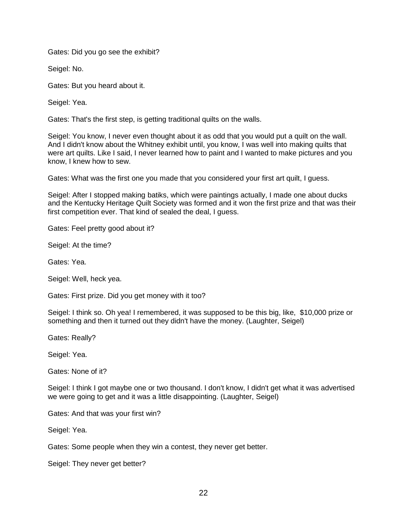Gates: Did you go see the exhibit?

Seigel: No.

Gates: But you heard about it.

Seigel: Yea.

Gates: That's the first step, is getting traditional quilts on the walls.

Seigel: You know, I never even thought about it as odd that you would put a quilt on the wall. And I didn't know about the Whitney exhibit until, you know, I was well into making quilts that were art quilts. Like I said, I never learned how to paint and I wanted to make pictures and you know, I knew how to sew.

Gates: What was the first one you made that you considered your first art quilt, I guess.

Seigel: After I stopped making batiks, which were paintings actually, I made one about ducks and the Kentucky Heritage Quilt Society was formed and it won the first prize and that was their first competition ever. That kind of sealed the deal, I guess.

Gates: Feel pretty good about it?

Seigel: At the time?

Gates: Yea.

Seigel: Well, heck yea.

Gates: First prize. Did you get money with it too?

Seigel: I think so. Oh yea! I remembered, it was supposed to be this big, like, \$10,000 prize or something and then it turned out they didn't have the money. (Laughter, Seigel)

Gates: Really?

Seigel: Yea.

Gates: None of it?

Seigel: I think I got maybe one or two thousand. I don't know, I didn't get what it was advertised we were going to get and it was a little disappointing. (Laughter, Seigel)

Gates: And that was your first win?

Seigel: Yea.

Gates: Some people when they win a contest, they never get better.

Seigel: They never get better?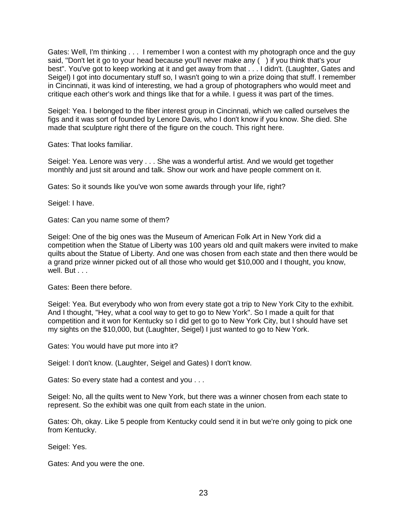Gates: Well, I'm thinking . . . I remember I won a contest with my photograph once and the guy said, "Don't let it go to your head because you'll never make any () if you think that's your best". You've got to keep working at it and get away from that . . . I didn't. (Laughter, Gates and Seigel) I got into documentary stuff so, I wasn't going to win a prize doing that stuff. I remember in Cincinnati, it was kind of interesting, we had a group of photographers who would meet and critique each other's work and things like that for a while. I guess it was part of the times.

Seigel: Yea. I belonged to the fiber interest group in Cincinnati, which we called ourselves the figs and it was sort of founded by Lenore Davis, who I don't know if you know. She died. She made that sculpture right there of the figure on the couch. This right here.

Gates: That looks familiar.

Seigel: Yea. Lenore was very . . . She was a wonderful artist. And we would get together monthly and just sit around and talk. Show our work and have people comment on it.

Gates: So it sounds like you've won some awards through your life, right?

Seigel: I have.

Gates: Can you name some of them?

Seigel: One of the big ones was the Museum of American Folk Art in New York did a competition when the Statue of Liberty was 100 years old and quilt makers were invited to make quilts about the Statue of Liberty. And one was chosen from each state and then there would be a grand prize winner picked out of all those who would get \$10,000 and I thought, you know, well. But . . .

Gates: Been there before.

Seigel: Yea. But everybody who won from every state got a trip to New York City to the exhibit. And I thought, "Hey, what a cool way to get to go to New York". So I made a quilt for that competition and it won for Kentucky so I did get to go to New York City, but I should have set my sights on the \$10,000, but (Laughter, Seigel) I just wanted to go to New York.

Gates: You would have put more into it?

Seigel: I don't know. (Laughter, Seigel and Gates) I don't know.

Gates: So every state had a contest and you . . .

Seigel: No, all the quilts went to New York, but there was a winner chosen from each state to represent. So the exhibit was one quilt from each state in the union.

Gates: Oh, okay. Like 5 people from Kentucky could send it in but we're only going to pick one from Kentucky.

Seigel: Yes.

Gates: And you were the one.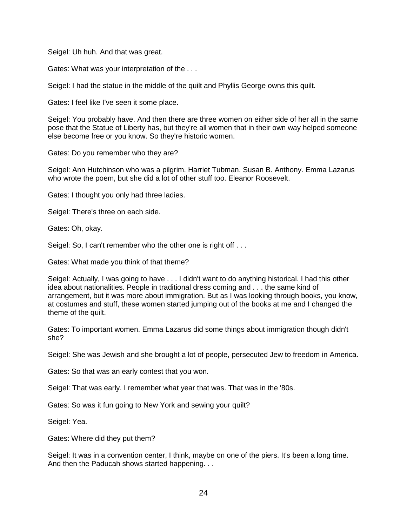Seigel: Uh huh. And that was great.

Gates: What was your interpretation of the . . .

Seigel: I had the statue in the middle of the quilt and Phyllis George owns this quilt.

Gates: I feel like I've seen it some place.

Seigel: You probably have. And then there are three women on either side of her all in the same pose that the Statue of Liberty has, but they're all women that in their own way helped someone else become free or you know. So they're historic women.

Gates: Do you remember who they are?

Seigel: Ann Hutchinson who was a pilgrim. Harriet Tubman. Susan B. Anthony. Emma Lazarus who wrote the poem, but she did a lot of other stuff too. Eleanor Roosevelt.

Gates: I thought you only had three ladies.

Seigel: There's three on each side.

Gates: Oh, okay.

Seigel: So, I can't remember who the other one is right off . . .

Gates: What made you think of that theme?

Seigel: Actually, I was going to have . . . I didn't want to do anything historical. I had this other idea about nationalities. People in traditional dress coming and . . . the same kind of arrangement, but it was more about immigration. But as I was looking through books, you know, at costumes and stuff, these women started jumping out of the books at me and I changed the theme of the quilt.

Gates: To important women. Emma Lazarus did some things about immigration though didn't she?

Seigel: She was Jewish and she brought a lot of people, persecuted Jew to freedom in America.

Gates: So that was an early contest that you won.

Seigel: That was early. I remember what year that was. That was in the '80s.

Gates: So was it fun going to New York and sewing your quilt?

Seigel: Yea.

Gates: Where did they put them?

Seigel: It was in a convention center, I think, maybe on one of the piers. It's been a long time. And then the Paducah shows started happening. . .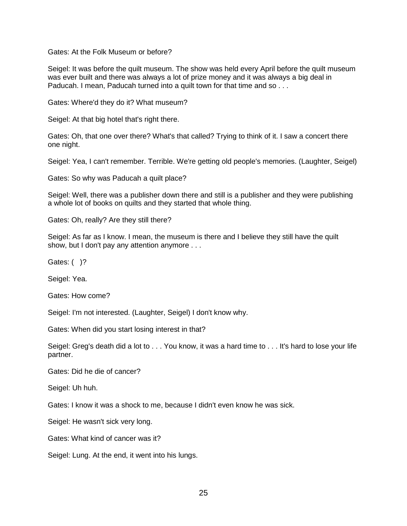Gates: At the Folk Museum or before?

Seigel: It was before the quilt museum. The show was held every April before the quilt museum was ever built and there was always a lot of prize money and it was always a big deal in Paducah. I mean, Paducah turned into a quilt town for that time and so . . .

Gates: Where'd they do it? What museum?

Seigel: At that big hotel that's right there.

Gates: Oh, that one over there? What's that called? Trying to think of it. I saw a concert there one night.

Seigel: Yea, I can't remember. Terrible. We're getting old people's memories. (Laughter, Seigel)

Gates: So why was Paducah a quilt place?

Seigel: Well, there was a publisher down there and still is a publisher and they were publishing a whole lot of books on quilts and they started that whole thing.

Gates: Oh, really? Are they still there?

Seigel: As far as I know. I mean, the museum is there and I believe they still have the quilt show, but I don't pay any attention anymore . . .

Gates: ()?

Seigel: Yea.

Gates: How come?

Seigel: I'm not interested. (Laughter, Seigel) I don't know why.

Gates: When did you start losing interest in that?

Seigel: Greg's death did a lot to . . . You know, it was a hard time to . . . It's hard to lose your life partner.

Gates: Did he die of cancer?

Seigel: Uh huh.

Gates: I know it was a shock to me, because I didn't even know he was sick.

Seigel: He wasn't sick very long.

Gates: What kind of cancer was it?

Seigel: Lung. At the end, it went into his lungs.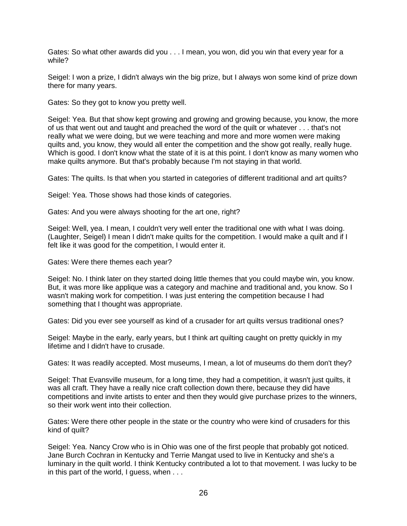Gates: So what other awards did you . . . I mean, you won, did you win that every year for a while?

Seigel: I won a prize, I didn't always win the big prize, but I always won some kind of prize down there for many years.

Gates: So they got to know you pretty well.

Seigel: Yea. But that show kept growing and growing and growing because, you know, the more of us that went out and taught and preached the word of the quilt or whatever . . . that's not really what we were doing, but we were teaching and more and more women were making quilts and, you know, they would all enter the competition and the show got really, really huge. Which is good. I don't know what the state of it is at this point. I don't know as many women who make quilts anymore. But that's probably because I'm not staying in that world.

Gates: The quilts. Is that when you started in categories of different traditional and art quilts?

Seigel: Yea. Those shows had those kinds of categories.

Gates: And you were always shooting for the art one, right?

Seigel: Well, yea. I mean, I couldn't very well enter the traditional one with what I was doing. (Laughter, Seigel) I mean I didn't make quilts for the competition. I would make a quilt and if I felt like it was good for the competition, I would enter it.

Gates: Were there themes each year?

Seigel: No. I think later on they started doing little themes that you could maybe win, you know. But, it was more like applique was a category and machine and traditional and, you know. So I wasn't making work for competition. I was just entering the competition because I had something that I thought was appropriate.

Gates: Did you ever see yourself as kind of a crusader for art quilts versus traditional ones?

Seigel: Maybe in the early, early years, but I think art quilting caught on pretty quickly in my lifetime and I didn't have to crusade.

Gates: It was readily accepted. Most museums, I mean, a lot of museums do them don't they?

Seigel: That Evansville museum, for a long time, they had a competition, it wasn't just quilts, it was all craft. They have a really nice craft collection down there, because they did have competitions and invite artists to enter and then they would give purchase prizes to the winners, so their work went into their collection.

Gates: Were there other people in the state or the country who were kind of crusaders for this kind of quilt?

Seigel: Yea. Nancy Crow who is in Ohio was one of the first people that probably got noticed. Jane Burch Cochran in Kentucky and Terrie Mangat used to live in Kentucky and she's a luminary in the quilt world. I think Kentucky contributed a lot to that movement. I was lucky to be in this part of the world, I guess, when . . .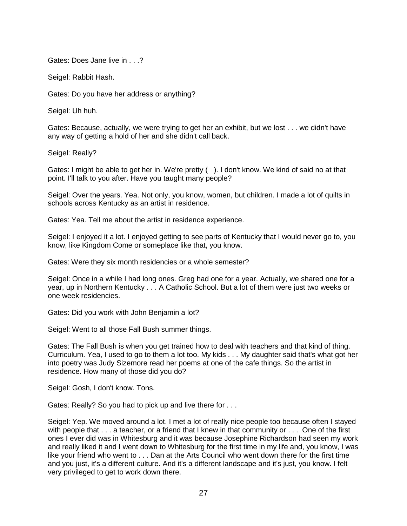Gates: Does Jane live in . . .?

Seigel: Rabbit Hash.

Gates: Do you have her address or anything?

Seigel: Uh huh.

Gates: Because, actually, we were trying to get her an exhibit, but we lost . . . we didn't have any way of getting a hold of her and she didn't call back.

Seigel: Really?

Gates: I might be able to get her in. We're pretty ( ). I don't know. We kind of said no at that point. I'll talk to you after. Have you taught many people?

Seigel: Over the years. Yea. Not only, you know, women, but children. I made a lot of quilts in schools across Kentucky as an artist in residence.

Gates: Yea. Tell me about the artist in residence experience.

Seigel: I enjoyed it a lot. I enjoyed getting to see parts of Kentucky that I would never go to, you know, like Kingdom Come or someplace like that, you know.

Gates: Were they six month residencies or a whole semester?

Seigel: Once in a while I had long ones. Greg had one for a year. Actually, we shared one for a year, up in Northern Kentucky . . . A Catholic School. But a lot of them were just two weeks or one week residencies.

Gates: Did you work with John Benjamin a lot?

Seigel: Went to all those Fall Bush summer things.

Gates: The Fall Bush is when you get trained how to deal with teachers and that kind of thing. Curriculum. Yea, I used to go to them a lot too. My kids . . . My daughter said that's what got her into poetry was Judy Sizemore read her poems at one of the cafe things. So the artist in residence. How many of those did you do?

Seigel: Gosh, I don't know. Tons.

Gates: Really? So you had to pick up and live there for . . .

Seigel: Yep. We moved around a lot. I met a lot of really nice people too because often I stayed with people that  $\dots$  a teacher, or a friend that I knew in that community or  $\dots$  One of the first ones I ever did was in Whitesburg and it was because Josephine Richardson had seen my work and really liked it and I went down to Whitesburg for the first time in my life and, you know, I was like your friend who went to . . . Dan at the Arts Council who went down there for the first time and you just, it's a different culture. And it's a different landscape and it's just, you know. I felt very privileged to get to work down there.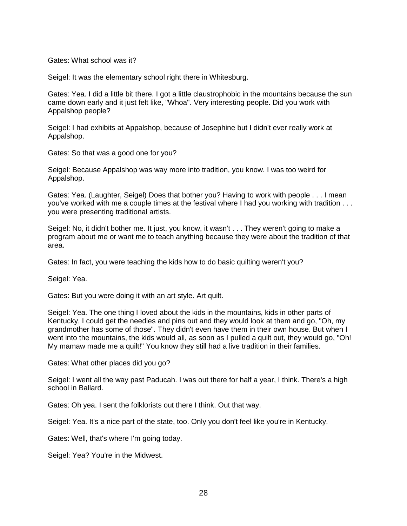Gates: What school was it?

Seigel: It was the elementary school right there in Whitesburg.

Gates: Yea. I did a little bit there. I got a little claustrophobic in the mountains because the sun came down early and it just felt like, "Whoa". Very interesting people. Did you work with Appalshop people?

Seigel: I had exhibits at Appalshop, because of Josephine but I didn't ever really work at Appalshop.

Gates: So that was a good one for you?

Seigel: Because Appalshop was way more into tradition, you know. I was too weird for Appalshop.

Gates: Yea. (Laughter, Seigel) Does that bother you? Having to work with people . . . I mean you've worked with me a couple times at the festival where I had you working with tradition . . . you were presenting traditional artists.

Seigel: No, it didn't bother me. It just, you know, it wasn't . . . They weren't going to make a program about me or want me to teach anything because they were about the tradition of that area.

Gates: In fact, you were teaching the kids how to do basic quilting weren't you?

Seigel: Yea.

Gates: But you were doing it with an art style. Art quilt.

Seigel: Yea. The one thing I loved about the kids in the mountains, kids in other parts of Kentucky, I could get the needles and pins out and they would look at them and go, "Oh, my grandmother has some of those". They didn't even have them in their own house. But when I went into the mountains, the kids would all, as soon as I pulled a quilt out, they would go, "Oh! My mamaw made me a quilt!" You know they still had a live tradition in their families.

Gates: What other places did you go?

Seigel: I went all the way past Paducah. I was out there for half a year, I think. There's a high school in Ballard.

Gates: Oh yea. I sent the folklorists out there I think. Out that way.

Seigel: Yea. It's a nice part of the state, too. Only you don't feel like you're in Kentucky.

Gates: Well, that's where I'm going today.

Seigel: Yea? You're in the Midwest.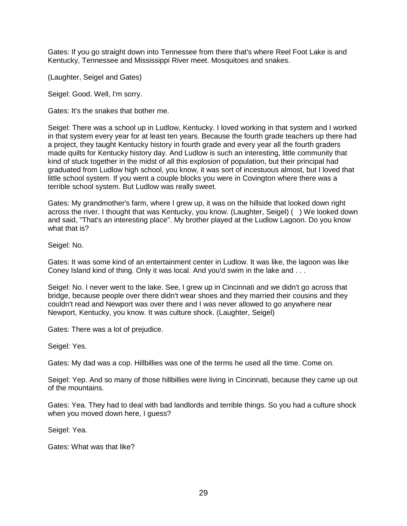Gates: If you go straight down into Tennessee from there that's where Reel Foot Lake is and Kentucky, Tennessee and Mississippi River meet. Mosquitoes and snakes.

(Laughter, Seigel and Gates)

Seigel: Good. Well, I'm sorry.

Gates: It's the snakes that bother me.

Seigel: There was a school up in Ludlow, Kentucky. I loved working in that system and I worked in that system every year for at least ten years. Because the fourth grade teachers up there had a project, they taught Kentucky history in fourth grade and every year all the fourth graders made quilts for Kentucky history day. And Ludlow is such an interesting, little community that kind of stuck together in the midst of all this explosion of population, but their principal had graduated from Ludlow high school, you know, it was sort of incestuous almost, but I loved that little school system. If you went a couple blocks you were in Covington where there was a terrible school system. But Ludlow was really sweet.

Gates: My grandmother's farm, where I grew up, it was on the hillside that looked down right across the river. I thought that was Kentucky, you know. (Laughter, Seigel) ( ) We looked down and said, "That's an interesting place". My brother played at the Ludlow Lagoon. Do you know what that is?

Seigel: No.

Gates: It was some kind of an entertainment center in Ludlow. It was like, the lagoon was like Coney Island kind of thing. Only it was local. And you'd swim in the lake and . . .

Seigel: No. I never went to the lake. See, I grew up in Cincinnati and we didn't go across that bridge, because people over there didn't wear shoes and they married their cousins and they couldn't read and Newport was over there and I was never allowed to go anywhere near Newport, Kentucky, you know. It was culture shock. (Laughter, Seigel)

Gates: There was a lot of prejudice.

Seigel: Yes.

Gates: My dad was a cop. Hillbillies was one of the terms he used all the time. Come on.

Seigel: Yep. And so many of those hillbillies were living in Cincinnati, because they came up out of the mountains.

Gates: Yea. They had to deal with bad landlords and terrible things. So you had a culture shock when you moved down here, I guess?

Seigel: Yea.

Gates: What was that like?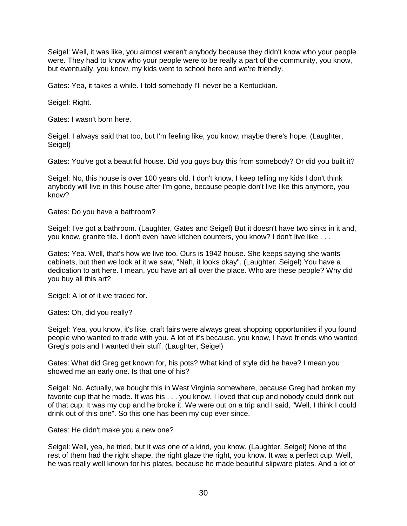Seigel: Well, it was like, you almost weren't anybody because they didn't know who your people were. They had to know who your people were to be really a part of the community, you know, but eventually, you know, my kids went to school here and we're friendly.

Gates: Yea, it takes a while. I told somebody I'll never be a Kentuckian.

Seigel: Right.

Gates: I wasn't born here.

Seigel: I always said that too, but I'm feeling like, you know, maybe there's hope. (Laughter, Seigel)

Gates: You've got a beautiful house. Did you guys buy this from somebody? Or did you built it?

Seigel: No, this house is over 100 years old. I don't know, I keep telling my kids I don't think anybody will live in this house after I'm gone, because people don't live like this anymore, you know?

Gates: Do you have a bathroom?

Seigel: I've got a bathroom. (Laughter, Gates and Seigel) But it doesn't have two sinks in it and, you know, granite tile. I don't even have kitchen counters, you know? I don't live like . . .

Gates: Yea. Well, that's how we live too. Ours is 1942 house. She keeps saying she wants cabinets, but then we look at it we saw, "Nah, it looks okay". (Laughter, Seigel) You have a dedication to art here. I mean, you have art all over the place. Who are these people? Why did you buy all this art?

Seigel: A lot of it we traded for.

Gates: Oh, did you really?

Seigel: Yea, you know, it's like, craft fairs were always great shopping opportunities if you found people who wanted to trade with you. A lot of it's because, you know, I have friends who wanted Greg's pots and I wanted their stuff. (Laughter, Seigel)

Gates: What did Greg get known for, his pots? What kind of style did he have? I mean you showed me an early one. Is that one of his?

Seigel: No. Actually, we bought this in West Virginia somewhere, because Greg had broken my favorite cup that he made. It was his . . . you know, I loved that cup and nobody could drink out of that cup. It was my cup and he broke it. We were out on a trip and I said, "Well, I think I could drink out of this one". So this one has been my cup ever since.

Gates: He didn't make you a new one?

Seigel: Well, yea, he tried, but it was one of a kind, you know. (Laughter, Seigel) None of the rest of them had the right shape, the right glaze the right, you know. It was a perfect cup. Well, he was really well known for his plates, because he made beautiful slipware plates. And a lot of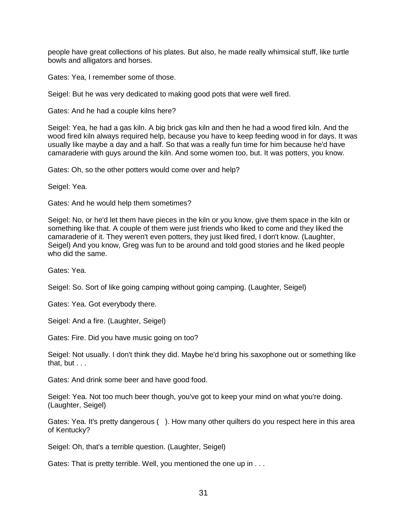people have great collections of his plates. But also, he made really whimsical stuff, like turtle bowls and alligators and horses.

Gates: Yea, I remember some of those.

Seigel: But he was very dedicated to making good pots that were well fired.

Gates: And he had a couple kilns here?

Seigel: Yea, he had a gas kiln. A big brick gas kiln and then he had a wood fired kiln. And the wood fired kiln always required help, because you have to keep feeding wood in for days. It was usually like maybe a day and a half. So that was a really fun time for him because he'd have camaraderie with guys around the kiln. And some women too, but. It was potters, you know.

Gates: Oh, so the other potters would come over and help?

Seigel: Yea.

Gates: And he would help them sometimes?

Seigel: No, or he'd let them have pieces in the kiln or you know, give them space in the kiln or something like that. A couple of them were just friends who liked to come and they liked the camaraderie of it. They weren't even potters, they just liked fired, I don't know. (Laughter, Seigel) And you know, Greg was fun to be around and told good stories and he liked people who did the same.

Gates: Yea.

Seigel: So. Sort of like going camping without going camping. (Laughter, Seigel)

Gates: Yea. Got everybody there.

Seigel: And a fire. (Laughter, Seigel)

Gates: Fire. Did you have music going on too?

Seigel: Not usually. I don't think they did. Maybe he'd bring his saxophone out or something like that, but  $\ldots$ 

Gates: And drink some beer and have good food.

Seigel: Yea. Not too much beer though, you've got to keep your mind on what you're doing. (Laughter, Seigel)

Gates: Yea. It's pretty dangerous ( ). How many other quilters do you respect here in this area of Kentucky?

Seigel: Oh, that's a terrible question. (Laughter, Seigel)

Gates: That is pretty terrible. Well, you mentioned the one up in . . .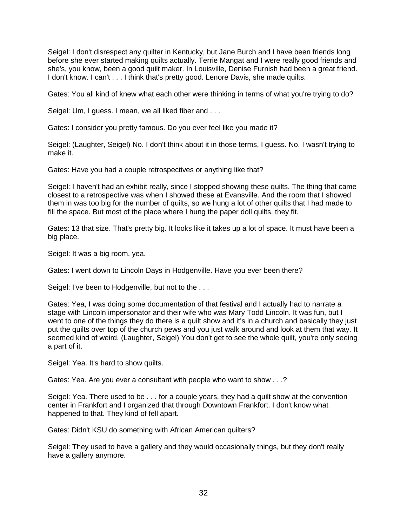Seigel: I don't disrespect any quilter in Kentucky, but Jane Burch and I have been friends long before she ever started making quilts actually. Terrie Mangat and I were really good friends and she's, you know, been a good quilt maker. In Louisville, Denise Furnish had been a great friend. I don't know. I can't . . . I think that's pretty good. Lenore Davis, she made quilts.

Gates: You all kind of knew what each other were thinking in terms of what you're trying to do?

Seigel: Um, I guess. I mean, we all liked fiber and . . .

Gates: I consider you pretty famous. Do you ever feel like you made it?

Seigel: (Laughter, Seigel) No. I don't think about it in those terms, I guess. No. I wasn't trying to make it.

Gates: Have you had a couple retrospectives or anything like that?

Seigel: I haven't had an exhibit really, since I stopped showing these quilts. The thing that came closest to a retrospective was when I showed these at Evansville. And the room that I showed them in was too big for the number of quilts, so we hung a lot of other quilts that I had made to fill the space. But most of the place where I hung the paper doll quilts, they fit.

Gates: 13 that size. That's pretty big. It looks like it takes up a lot of space. It must have been a big place.

Seigel: It was a big room, yea.

Gates: I went down to Lincoln Days in Hodgenville. Have you ever been there?

Seigel: I've been to Hodgenville, but not to the . . .

Gates: Yea, I was doing some documentation of that festival and I actually had to narrate a stage with Lincoln impersonator and their wife who was Mary Todd Lincoln. It was fun, but I went to one of the things they do there is a quilt show and it's in a church and basically they just put the quilts over top of the church pews and you just walk around and look at them that way. It seemed kind of weird. (Laughter, Seigel) You don't get to see the whole quilt, you're only seeing a part of it.

Seigel: Yea. It's hard to show quilts.

Gates: Yea. Are you ever a consultant with people who want to show . . .?

Seigel: Yea. There used to be . . . for a couple years, they had a quilt show at the convention center in Frankfort and I organized that through Downtown Frankfort. I don't know what happened to that. They kind of fell apart.

Gates: Didn't KSU do something with African American quilters?

Seigel: They used to have a gallery and they would occasionally things, but they don't really have a gallery anymore.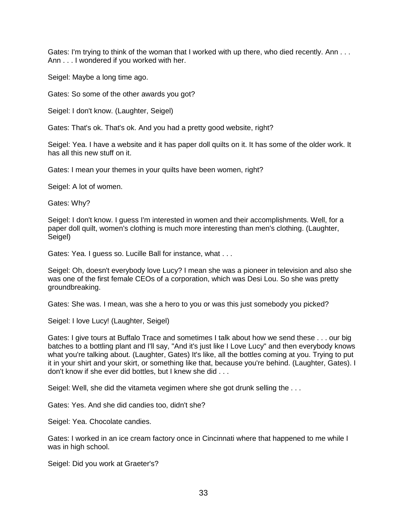Gates: I'm trying to think of the woman that I worked with up there, who died recently. Ann . . . Ann . . . I wondered if you worked with her.

Seigel: Maybe a long time ago.

Gates: So some of the other awards you got?

Seigel: I don't know. (Laughter, Seigel)

Gates: That's ok. That's ok. And you had a pretty good website, right?

Seigel: Yea. I have a website and it has paper doll quilts on it. It has some of the older work. It has all this new stuff on it.

Gates: I mean your themes in your quilts have been women, right?

Seigel: A lot of women.

Gates: Why?

Seigel: I don't know. I guess I'm interested in women and their accomplishments. Well, for a paper doll quilt, women's clothing is much more interesting than men's clothing. (Laughter, Seigel)

Gates: Yea. I guess so. Lucille Ball for instance, what . . .

Seigel: Oh, doesn't everybody love Lucy? I mean she was a pioneer in television and also she was one of the first female CEOs of a corporation, which was Desi Lou. So she was pretty groundbreaking.

Gates: She was. I mean, was she a hero to you or was this just somebody you picked?

Seigel: I love Lucy! (Laughter, Seigel)

Gates: I give tours at Buffalo Trace and sometimes I talk about how we send these . . . our big batches to a bottling plant and I'll say, "And it's just like I Love Lucy" and then everybody knows what you're talking about. (Laughter, Gates) It's like, all the bottles coming at you. Trying to put it in your shirt and your skirt, or something like that, because you're behind. (Laughter, Gates). I don't know if she ever did bottles, but I knew she did . . .

Seigel: Well, she did the vitameta vegimen where she got drunk selling the . . .

Gates: Yes. And she did candies too, didn't she?

Seigel: Yea. Chocolate candies.

Gates: I worked in an ice cream factory once in Cincinnati where that happened to me while I was in high school.

Seigel: Did you work at Graeter's?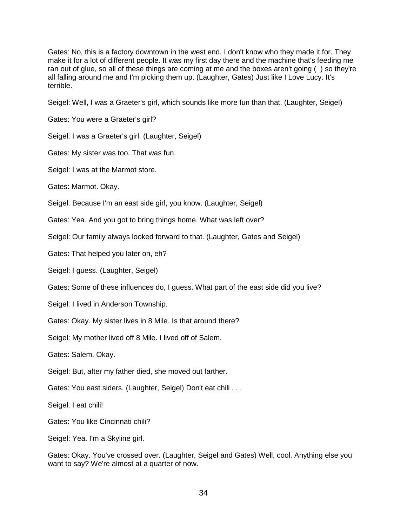Gates: No, this is a factory downtown in the west end. I don't know who they made it for. They make it for a lot of different people. It was my first day there and the machine that's feeding me ran out of glue, so all of these things are coming at me and the boxes aren't going ( ) so they're all falling around me and I'm picking them up. (Laughter, Gates) Just like I Love Lucy. It's terrible.

Seigel: Well, I was a Graeter's girl, which sounds like more fun than that. (Laughter, Seigel)

Gates: You were a Graeter's girl?

Seigel: I was a Graeter's girl. (Laughter, Seigel)

Gates: My sister was too. That was fun.

Seigel: I was at the Marmot store.

Gates: Marmot. Okay.

Seigel: Because I'm an east side girl, you know. (Laughter, Seigel)

Gates: Yea. And you got to bring things home. What was left over?

Seigel: Our family always looked forward to that. (Laughter, Gates and Seigel)

Gates: That helped you later on, eh?

Seigel: I guess. (Laughter, Seigel)

Gates: Some of these influences do, I guess. What part of the east side did you live?

Seigel: I lived in Anderson Township.

Gates: Okay. My sister lives in 8 Mile. Is that around there?

Seigel: My mother lived off 8 Mile. I lived off of Salem.

Gates: Salem. Okay.

Seigel: But, after my father died, she moved out farther.

Gates: You east siders. (Laughter, Seigel) Don't eat chili . . .

Seigel: I eat chili!

Gates: You like Cincinnati chili?

Seigel: Yea. I'm a Skyline girl.

Gates: Okay. You've crossed over. (Laughter, Seigel and Gates) Well, cool. Anything else you want to say? We're almost at a quarter of now.